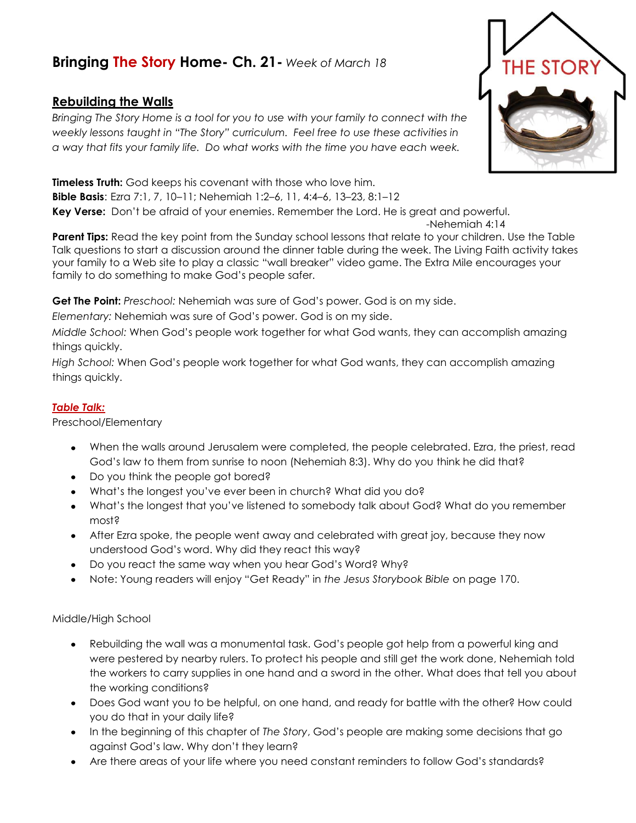## **Bringing The Story Home- Ch. 21-** *Week of March 18*

## **Rebuilding the Walls**

*Bringing The Story Home is a tool for you to use with your family to connect with the weekly lessons taught in "The Story" curriculum. Feel free to use these activities in a way that fits your family life. Do what works with the time you have each week.* 

**Timeless Truth:** God keeps his covenant with those who love him. **Bible Basis**: Ezra 7:1, 7, 10–11; Nehemiah 1:2–6, 11, 4:4–6, 13–23, 8:1–12 **Key Verse:** Don't be afraid of your enemies. Remember the Lord. He is great and powerful.

-Nehemiah 4:14 **Parent Tips:** Read the key point from the Sunday school lessons that relate to your children. Use the Table Talk questions to start a discussion around the dinner table during the week. The Living Faith activity takes your family to a Web site to play a classic "wall breaker" video game. The Extra Mile encourages your family to do something to make God's people safer.

**Get The Point:** *Preschool:* Nehemiah was sure of God's power. God is on my side.

*Elementary:* Nehemiah was sure of God's power. God is on my side.

*Middle School:* When God's people work together for what God wants, they can accomplish amazing things quickly.

*High School:* When God's people work together for what God wants, they can accomplish amazing things quickly.

## *Table Talk:*

Preschool/Elementary

- When the walls around Jerusalem were completed, the people celebrated. Ezra, the priest, read God's law to them from sunrise to noon (Nehemiah 8:3). Why do you think he did that?
- Do you think the people got bored?
- What's the longest you've ever been in church? What did you do?
- What's the longest that you've listened to somebody talk about God? What do you remember most?
- After Ezra spoke, the people went away and celebrated with great joy, because they now understood God's word. Why did they react this way?
- Do you react the same way when you hear God's Word? Why?
- Note: Young readers will enjoy "Get Ready" in *the Jesus Storybook Bible* on page 170.

## Middle/High School

- Rebuilding the wall was a monumental task. God's people got help from a powerful king and were pestered by nearby rulers. To protect his people and still get the work done, Nehemiah told the workers to carry supplies in one hand and a sword in the other. What does that tell you about the working conditions?
- Does God want you to be helpful, on one hand, and ready for battle with the other? How could you do that in your daily life?
- In the beginning of this chapter of *The Story*, God's people are making some decisions that go against God's law. Why don't they learn?
- Are there areas of your life where you need constant reminders to follow God's standards?